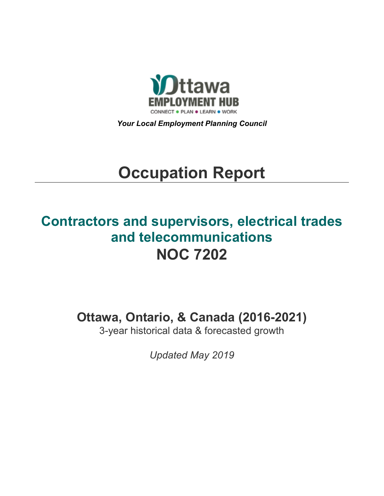

*Your Local Employment Planning Council*

# **Occupation Report**

## **Contractors and supervisors, electrical trades and telecommunications NOC 7202**

**Ottawa, Ontario, & Canada (2016-2021)**

3-year historical data & forecasted growth

*Updated May 2019*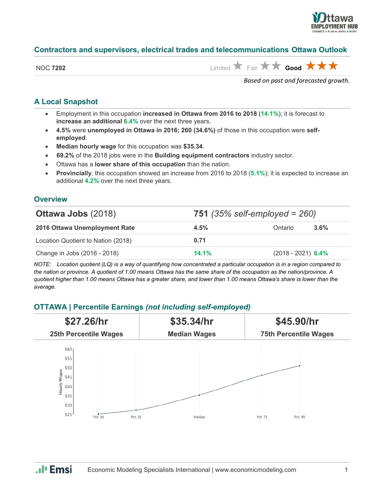

## **Contractors and supervisors, electrical trades and telecommunications Ottawa Outlook**

| NOC | 7202 |
|-----|------|
|-----|------|

 $\lim_{x\to 0}$  **x**  $\lim_{x\to 0}$  **Fair**  $\bigstar$  **x**  $\bigstar$  **Good**  $\bigstar$  **x**  $\bigstar$ 

*Based on past and forecasted growth.*

## **A Local Snapshot**

- Employment in this occupation **increased in Ottawa from 2016 to 2018** (**14.1%**); it is forecast to **increase an additional 6.4%** over the next three years.
- **4.5%** were **unemployed in Ottawa in 2016; 260 (34.6%)** of those in this occupation were **selfemployed**.
- **Median hourly wage** for this occupation was **\$35.34**.
- **69.2%** of the 2018 jobs were in the **Building equipment contractors** industry sector.
- Ottawa has a **lower share of this occupation** than the nation.
- **Provincially**, this occupation showed an increase from 2016 to 2018 (**5.1%**); it is expected to increase an additional **4.2%** over the next three years.

#### **Overview**

| <b>Ottawa Jobs (2018)</b>          | 751 (35% self-employed = $260$ ) |                      |         |
|------------------------------------|----------------------------------|----------------------|---------|
| 2016 Ottawa Unemployment Rate      | 4.5%                             | Ontario              | $3.6\%$ |
| Location Quotient to Nation (2018) | 0.71                             |                      |         |
| Change in Jobs (2016 - 2018)       | 14.1%                            | $(2018 - 2021)$ 6.4% |         |

*NOTE: Location quotient (LQ) is a way of quantifying how concentrated a particular occupation is in a region compared to the nation or province. A quotient of 1.00 means Ottawa has the same share of the occupation as the nation/province. A quotient higher than 1.00 means Ottawa has a greater share, and lower than 1.00 means Ottawa's share is lower than the average.*

## **OTTAWA | Percentile Earnings** *(not including self-employed)*



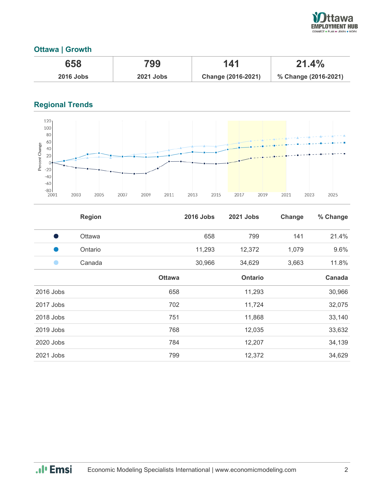

## **Ottawa | Growth**

| 658              | 799              | 141                | 21.4%                |
|------------------|------------------|--------------------|----------------------|
| <b>2016 Jobs</b> | <b>2021 Jobs</b> | Change (2016-2021) | % Change (2016-2021) |

## **Regional Trends**



|           | <b>Region</b> |               | <b>2016 Jobs</b> | <b>2021 Jobs</b> | Change | % Change |
|-----------|---------------|---------------|------------------|------------------|--------|----------|
| Ð         | Ottawa        |               | 658              | 799              | 141    | 21.4%    |
|           | Ontario       |               | 11,293           | 12,372           | 1,079  | 9.6%     |
|           | Canada        |               | 30,966           | 34,629           | 3,663  | 11.8%    |
|           |               | <b>Ottawa</b> |                  | <b>Ontario</b>   |        | Canada   |
| 2016 Jobs |               | 658           |                  | 11,293           |        | 30,966   |
| 2017 Jobs |               | 702           |                  | 11,724           |        | 32,075   |
| 2018 Jobs |               | 751           |                  | 11,868           |        | 33,140   |
| 2019 Jobs |               | 768           |                  | 12,035           |        | 33,632   |
| 2020 Jobs |               | 784           |                  | 12,207           |        | 34,139   |
| 2021 Jobs |               | 799           |                  | 12,372           |        | 34,629   |

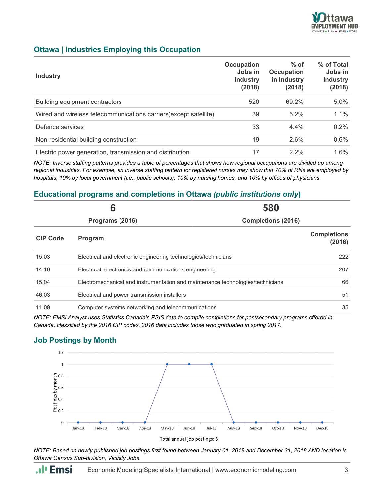

## **Ottawa | Industries Employing this Occupation**

| <b>Industry</b>                                                   | Occupation<br>Jobs in<br><b>Industry</b><br>(2018) | $%$ of<br><b>Occupation</b><br>in Industry<br>(2018) | % of Total<br>Jobs in<br><b>Industry</b><br>(2018) |
|-------------------------------------------------------------------|----------------------------------------------------|------------------------------------------------------|----------------------------------------------------|
| Building equipment contractors                                    | 520                                                | 69.2%                                                | 5.0%                                               |
| Wired and wireless telecommunications carriers (except satellite) | 39                                                 | 5.2%                                                 | 1.1%                                               |
| Defence services                                                  | 33                                                 | 4.4%                                                 | 0.2%                                               |
| Non-residential building construction                             | 19                                                 | 2.6%                                                 | 0.6%                                               |
| Electric power generation, transmission and distribution          | 17                                                 | $2.2\%$                                              | 1.6%                                               |

*NOTE: Inverse staffing patterns provides a table of percentages that shows how regional occupations are divided up among regional industries. For example, an inverse staffing pattern for registered nurses may show that 70% of RNs are employed by hospitals, 10% by local government (i.e., public schools), 10% by nursing homes, and 10% by offices of physicians.*

## **Educational programs and completions in Ottawa** *(public institutions only***)**

| 6                                            |                                                                                | 580 |                              |
|----------------------------------------------|--------------------------------------------------------------------------------|-----|------------------------------|
| <b>Completions (2016)</b><br>Programs (2016) |                                                                                |     |                              |
| <b>CIP Code</b>                              | Program                                                                        |     | <b>Completions</b><br>(2016) |
| 15.03                                        | Electrical and electronic engineering technologies/technicians                 |     | 222                          |
| 14.10                                        | Electrical, electronics and communications engineering                         |     | 207                          |
| 15.04                                        | Electromechanical and instrumentation and maintenance technologies/technicians |     | 66                           |
| 46.03                                        | Electrical and power transmission installers                                   |     | 51                           |
| 11.09                                        | Computer systems networking and telecommunications                             |     | 35                           |

*NOTE: EMSI Analyst uses Statistics Canada's PSIS data to compile completions for postsecondary programs offered in Canada, classified by the 2016 CIP codes. 2016 data includes those who graduated in spring 2017.*

## **Job Postings by Month**



*NOTE: Based on newly published job postings first found between January 01, 2018 and December 31, 2018 AND location is Ottawa Census Sub-division, Vicinity Jobs.*